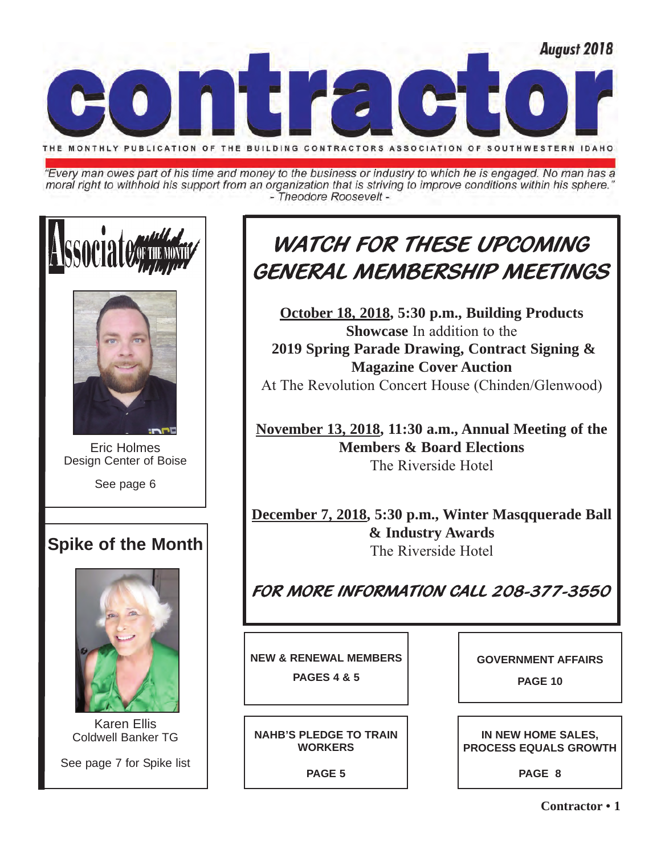

"Every man owes part of his time and money to the business or industry to which he is engaged. No man has a moral right to withhold his support from an organization that is striving to improve conditions within his sphere." - Theodore Roosevelt -





Eric Holmes Design Center of Boise

See page 6

## **Spike of the Month**



Karen Ellis Coldwell Banker TG

See page 7 for Spike list

## WATCH FOR THESE UPCOMING GENERAL MEMBERSHIP MEETINGS

**October 18, 2018, 5:30 p.m., Building Products Showcase** In addition to the **2019 Spring Parade Drawing, Contract Signing & Magazine Cover Auction**  At The Revolution Concert House (Chinden/Glenwood)

**November 13, 2018, 11:30 a.m., Annual Meeting of the Members & Board Elections**  The Riverside Hotel

**December 7, 2018, 5:30 p.m., Winter Masqquerade Ball & Industry Awards** The Riverside Hotel

FOR MORE INFORMATION CALL 208-377-3550

**NEW & RENEWAL MEMBERS**

**PAGES 4 & 5**

**NAHB'S PLEDGE TO TRAIN WORKERS** 

**PAGE 5**

**GOVERNMENT AFFAIRS** 

**PAGE 10**

**IN NEW HOME SALES, PROCESS EQUALS GROWTH**

**PAGE 8**

**Contractor • 1**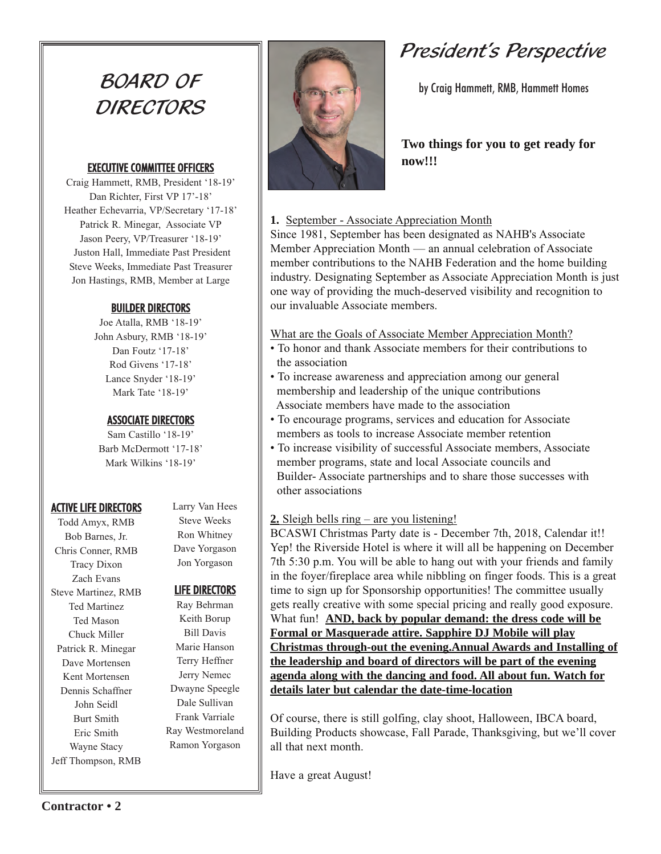## BOARD OF **DIRECTORS**

#### EXECUTIVE COMMITTEE OFFICERS

Craig Hammett, RMB, President '18-19' Dan Richter, First VP 17'-18' Heather Echevarria, VP/Secretary '17-18' Patrick R. Minegar, Associate VP Jason Peery, VP/Treasurer '18-19' Juston Hall, Immediate Past President Steve Weeks, Immediate Past Treasurer Jon Hastings, RMB, Member at Large

### BUILDER DIRECTORS

Joe Atalla, RMB '18-19' John Asbury, RMB '18-19' Dan Foutz '17-18' Rod Givens '17-18' Lance Snyder '18-19' Mark Tate '18-19'

## ASSOCIATE DIRECTORS

Sam Castillo '18-19' Barb McDermott '17-18' Mark Wilkins '18-19'

## ACTIVE LIFE DIRECTORS

Todd Amyx, RMB Bob Barnes, Jr. Chris Conner, RMB Tracy Dixon Zach Evans Steve Martinez, RMB Ted Martinez Ted Mason Chuck Miller Patrick R. Minegar Dave Mortensen Kent Mortensen Dennis Schaffner John Seidl Burt Smith Eric Smith Wayne Stacy Jeff Thompson, RMB Larry Van Hees Steve Weeks Ron Whitney Dave Yorgason

## LIFE DIRECTORS

Jon Yorgason

Ray Behrman Keith Borup Bill Davis Marie Hanson Terry Heffner Jerry Nemec Dwayne Speegle Dale Sullivan Frank Varriale Ray Westmoreland Ramon Yorgason



## President's Perspective

by Craig Hammett, RMB, Hammett Homes

## **Two things for you to get ready for now!!!**

## **1.** September - Associate Appreciation Month

Since 1981, September has been designated as NAHB's Associate Member Appreciation Month — an annual celebration of Associate member contributions to the NAHB Federation and the home building industry. Designating September as Associate Appreciation Month is just one way of providing the much-deserved visibility and recognition to our invaluable Associate members.

### What are the Goals of Associate Member Appreciation Month?

- To honor and thank Associate members for their contributions to the association
- To increase awareness and appreciation among our general membership and leadership of the unique contributions Associate members have made to the association
- To encourage programs, services and education for Associate members as tools to increase Associate member retention
- To increase visibility of successful Associate members, Associate member programs, state and local Associate councils and Builder- Associate partnerships and to share those successes with other associations

## **2.** Sleigh bells ring – are you listening!

BCASWI Christmas Party date is - December 7th, 2018, Calendar it!! Yep! the Riverside Hotel is where it will all be happening on December 7th 5:30 p.m. You will be able to hang out with your friends and family in the foyer/fireplace area while nibbling on finger foods. This is a great time to sign up for Sponsorship opportunities! The committee usually gets really creative with some special pricing and really good exposure. What fun! **AND, back by popular demand: the dress code will be Formal or Masquerade attire. Sapphire DJ Mobile will play Christmas through-out the evening.Annual Awards and Installing of the leadership and board of directors will be part of the evening agenda along with the dancing and food. All about fun. Watch for details later but calendar the date-time-location**

Of course, there is still golfing, clay shoot, Halloween, IBCA board, Building Products showcase, Fall Parade, Thanksgiving, but we'll cover all that next month.

Have a great August!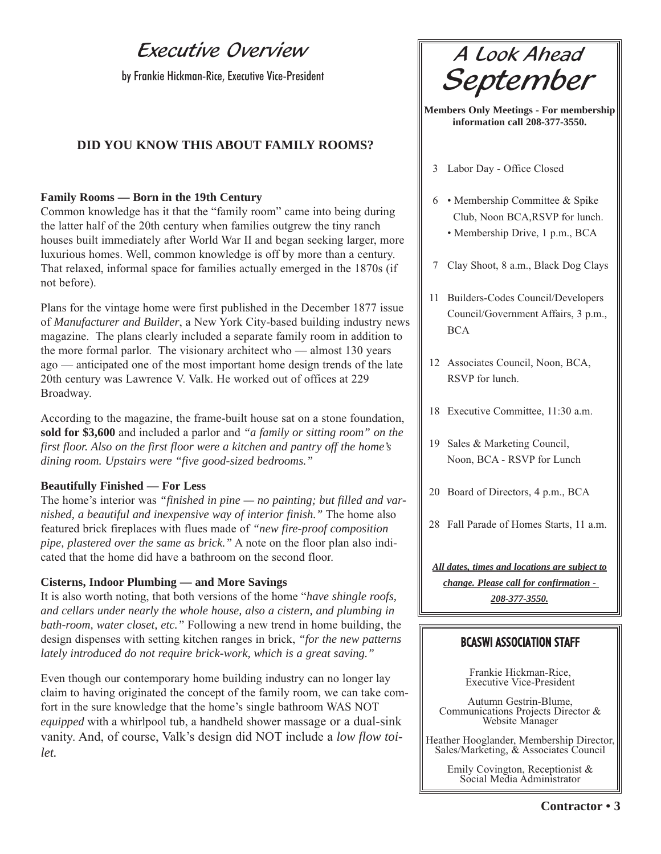## Executive Overview

by Frankie Hickman-Rice, Executive Vice-President

## **DID YOU KNOW THIS ABOUT FAMILY ROOMS?**

#### **Family Rooms — Born in the 19th Century**

Common knowledge has it that the "family room" came into being during the latter half of the 20th century when families outgrew the tiny ranch houses built immediately after World War II and began seeking larger, more luxurious homes. Well, common knowledge is off by more than a century. That relaxed, informal space for families actually emerged in the 1870s (if not before).

Plans for the vintage home were first published in the December 1877 issue of *Manufacturer and Builder*, a New York City-based building industry news magazine. The plans clearly included a separate family room in addition to the more formal parlor. The visionary architect who — almost 130 years ago — anticipated one of the most important home design trends of the late 20th century was Lawrence V. Valk. He worked out of offices at 229 Broadway.

According to the magazine, the frame-built house sat on a stone foundation, **sold for \$3,600** and included a parlor and *"a family or sitting room" on the first floor. Also on the first floor were a kitchen and pantry off the home's dining room. Upstairs were "five good-sized bedrooms."*

#### **Beautifully Finished — For Less**

The home's interior was *"finished in pine — no painting; but filled and varnished, a beautiful and inexpensive way of interior finish."* The home also featured brick fireplaces with flues made of *"new fire-proof composition pipe, plastered over the same as brick."* A note on the floor plan also indicated that the home did have a bathroom on the second floor.

#### **Cisterns, Indoor Plumbing — and More Savings**

It is also worth noting, that both versions of the home "*have shingle roofs, and cellars under nearly the whole house, also a cistern, and plumbing in bath-room, water closet, etc."* Following a new trend in home building, the design dispenses with setting kitchen ranges in brick, *"for the new patterns lately introduced do not require brick-work, which is a great saving."*

Even though our contemporary home building industry can no longer lay claim to having originated the concept of the family room, we can take comfort in the sure knowledge that the home's single bathroom WAS NOT *equipped* with a whirlpool tub, a handheld shower massage or a dual-sink vanity. And, of course, Valk's design did NOT include a *low flow toilet.*

A Look Ahead September

**Members Only Meetings - For membership information call 208-377-3550.** 

- 3 Labor Day Office Closed
- 6 Membership Committee & Spike Club, Noon BCA,RSVP for lunch.
	- Membership Drive, 1 p.m., BCA
- 7 Clay Shoot, 8 a.m., Black Dog Clays
- 11 Builders-Codes Council/Developers Council/Government Affairs, 3 p.m., BCA
- 12 Associates Council, Noon, BCA, RSVP for lunch.
- 18 Executive Committee, 11:30 a.m.
- 19 Sales & Marketing Council, Noon, BCA - RSVP for Lunch
- 20 Board of Directors, 4 p.m., BCA
- 28 Fall Parade of Homes Starts, 11 a.m.

*All dates, times and locations are subject to change. Please call for confirmation - 208-377-3550.*

## BCASWI ASSOCIATION STAFF

Frankie Hickman-Rice, Executive Vice-President

Autumn Gestrin-Blume, Communications Projects Director & Website Manager

Heather Hooglander, Membership Director, Sales/Marketing, & Associates Council

Emily Covington, Receptionist & Social Media Administrator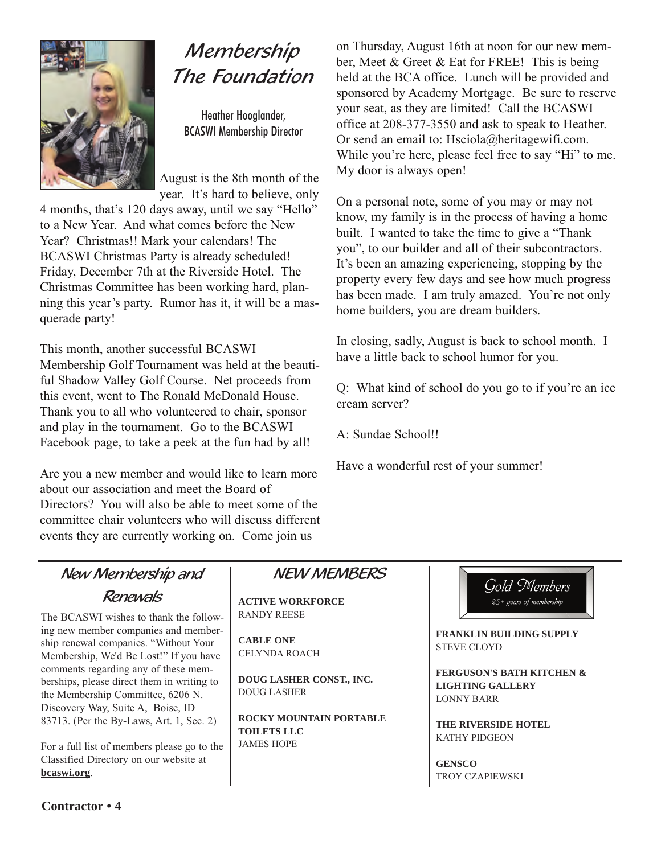

## Membership The Foundation

Heather Hooglander, BCASWI Membership Director

August is the 8th month of the year. It's hard to believe, only

4 months, that's 120 days away, until we say "Hello" to a New Year. And what comes before the New Year? Christmas!! Mark your calendars! The BCASWI Christmas Party is already scheduled! Friday, December 7th at the Riverside Hotel. The Christmas Committee has been working hard, planning this year's party. Rumor has it, it will be a masquerade party!

This month, another successful BCASWI Membership Golf Tournament was held at the beautiful Shadow Valley Golf Course. Net proceeds from this event, went to The Ronald McDonald House. Thank you to all who volunteered to chair, sponsor and play in the tournament. Go to the BCASWI Facebook page, to take a peek at the fun had by all!

Are you a new member and would like to learn more about our association and meet the Board of Directors? You will also be able to meet some of the committee chair volunteers who will discuss different events they are currently working on. Come join us

on Thursday, August 16th at noon for our new member, Meet & Greet & Eat for FREE! This is being held at the BCA office. Lunch will be provided and sponsored by Academy Mortgage. Be sure to reserve your seat, as they are limited! Call the BCASWI office at 208-377-3550 and ask to speak to Heather. Or send an email to: Hsciola@heritagewifi.com. While you're here, please feel free to say "Hi" to me. My door is always open!

On a personal note, some of you may or may not know, my family is in the process of having a home built. I wanted to take the time to give a "Thank you", to our builder and all of their subcontractors. It's been an amazing experiencing, stopping by the property every few days and see how much progress has been made. I am truly amazed. You're not only home builders, you are dream builders.

In closing, sadly, August is back to school month. I have a little back to school humor for you.

Q: What kind of school do you go to if you're an ice cream server?

A: Sundae School!!

Have a wonderful rest of your summer!

## New Membership and Renewals

The BCASWI wishes to thank the following new member companies and membership renewal companies. "Without Your Membership, We'd Be Lost!" If you have comments regarding any of these memberships, please direct them in writing to the Membership Committee, 6206 N. Discovery Way, Suite A, Boise, ID 83713. (Per the By-Laws, Art. 1, Sec. 2)

For a full list of members please go to the Classified Directory on our website at **bcaswi.org**.

## NEW MEMBERS

**ACTIVE WORKFORCE** RANDY REESE

**CABLE ONE** CELYNDA ROACH

**DOUG LASHER CONST., INC.** DOUG LASHER

**ROCKY MOUNTAIN PORTABLE TOILETS LLC** JAMES HOPE



**FRANKLIN BUILDING SUPPLY** STEVE CLOYD

**FERGUSON'S BATH KITCHEN & LIGHTING GALLERY** LONNY BARR

**THE RIVERSIDE HOTEL** KATHY PIDGEON

**GENSCO** TROY CZAPIEWSKI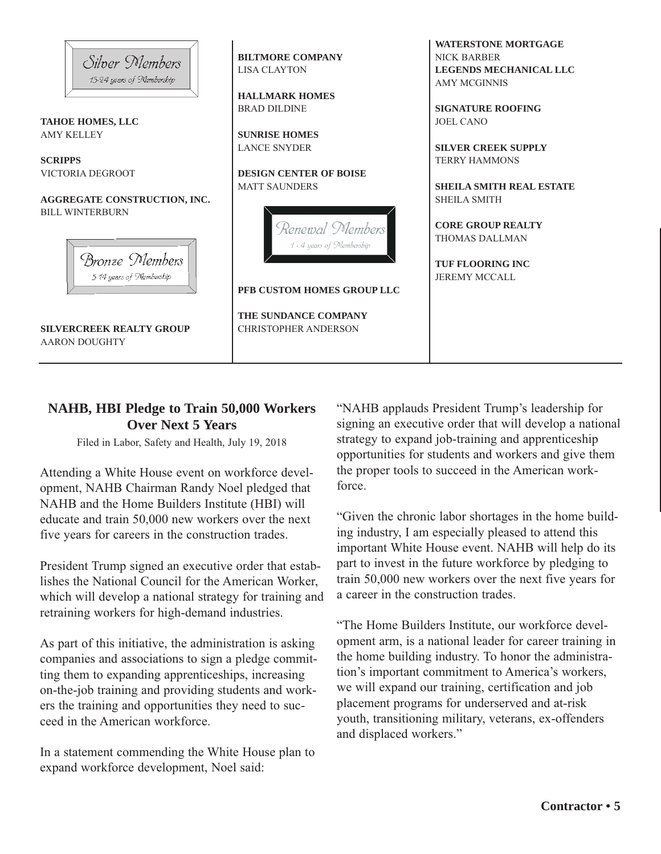

## **NAHB, HBI Pledge to Train 50,000 Workers Over Next 5 Years**

Filed in Labor, Safety and Health, July 19, 2018

Attending a White House event on workforce development, NAHB Chairman Randy Noel pledged that NAHB and the Home Builders Institute (HBI) will educate and train 50,000 new workers over the next five years for careers in the construction trades.

President Trump signed an executive order that establishes the National Council for the American Worker, which will develop a national strategy for training and retraining workers for high-demand industries.

As part of this initiative, the administration is asking companies and associations to sign a pledge committing them to expanding apprenticeships, increasing on-the-job training and providing students and workers the training and opportunities they need to succeed in the American workforce.

In a statement commending the White House plan to expand workforce development, Noel said:

"NAHB applauds President Trump's leadership for signing an executive order that will develop a national strategy to expand job-training and apprenticeship opportunities for students and workers and give them the proper tools to succeed in the American workforce.

"Given the chronic labor shortages in the home building industry, I am especially pleased to attend this important White House event. NAHB will help do its part to invest in the future workforce by pledging to train 50,000 new workers over the next five years for a career in the construction trades.

"The Home Builders Institute, our workforce development arm, is a national leader for career training in the home building industry. To honor the administration's important commitment to America's workers, we will expand our training, certification and job placement programs for underserved and at-risk youth, transitioning military, veterans, ex-offenders and displaced workers."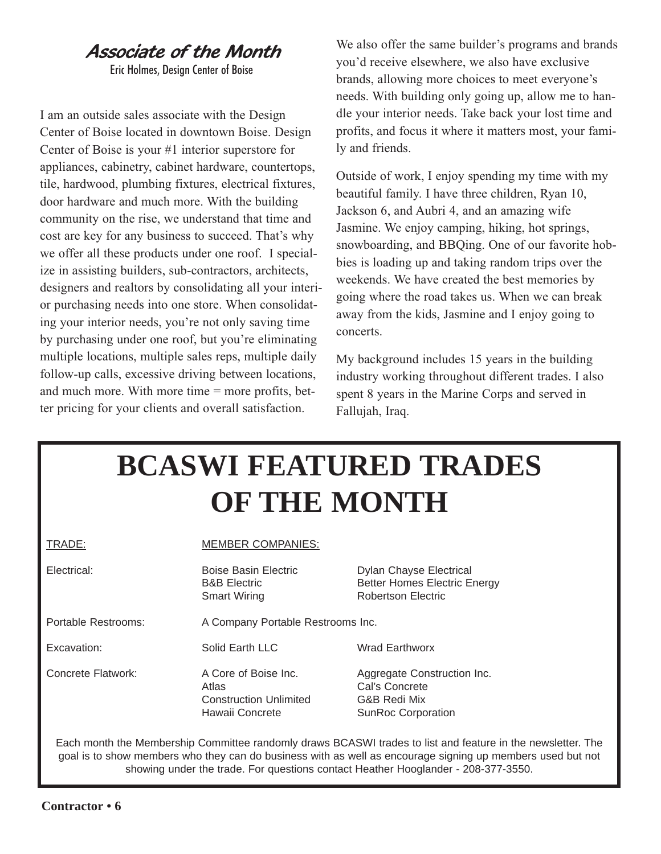## Associate of the Month

Eric Holmes, Design Center of Boise

I am an outside sales associate with the Design Center of Boise located in downtown Boise. Design Center of Boise is your #1 interior superstore for appliances, cabinetry, cabinet hardware, countertops, tile, hardwood, plumbing fixtures, electrical fixtures, door hardware and much more. With the building community on the rise, we understand that time and cost are key for any business to succeed. That's why we offer all these products under one roof. I specialize in assisting builders, sub-contractors, architects, designers and realtors by consolidating all your interior purchasing needs into one store. When consolidating your interior needs, you're not only saving time by purchasing under one roof, but you're eliminating multiple locations, multiple sales reps, multiple daily follow-up calls, excessive driving between locations, and much more. With more time = more profits, better pricing for your clients and overall satisfaction.

We also offer the same builder's programs and brands you'd receive elsewhere, we also have exclusive brands, allowing more choices to meet everyone's needs. With building only going up, allow me to handle your interior needs. Take back your lost time and profits, and focus it where it matters most, your family and friends.

Outside of work, I enjoy spending my time with my beautiful family. I have three children, Ryan 10, Jackson 6, and Aubri 4, and an amazing wife Jasmine. We enjoy camping, hiking, hot springs, snowboarding, and BBQing. One of our favorite hobbies is loading up and taking random trips over the weekends. We have created the best memories by going where the road takes us. When we can break away from the kids, Jasmine and I enjoy going to concerts.

My background includes 15 years in the building industry working throughout different trades. I also spent 8 years in the Marine Corps and served in Fallujah, Iraq.

# **BCASWI FEATURED TRADES OF THE MONTH**

| TRADE:              | <b>MEMBER COMPANIES:</b>                                                          |                                                                                             |  |
|---------------------|-----------------------------------------------------------------------------------|---------------------------------------------------------------------------------------------|--|
| Electrical:         | Boise Basin Electric<br><b>B&amp;B</b> Electric<br><b>Smart Wiring</b>            | <b>Dylan Chayse Electrical</b><br><b>Better Homes Electric Energy</b><br>Robertson Electric |  |
| Portable Restrooms: | A Company Portable Restrooms Inc.                                                 |                                                                                             |  |
| Excavation:         | Solid Earth LLC                                                                   | <b>Wrad Earthworx</b>                                                                       |  |
| Concrete Flatwork:  | A Core of Boise Inc.<br>Atlas<br><b>Construction Unlimited</b><br>Hawaii Concrete | Aggregate Construction Inc.<br>Cal's Concrete<br>G&B Redi Mix<br><b>SunRoc Corporation</b>  |  |

Each month the Membership Committee randomly draws BCASWI trades to list and feature in the newsletter. The goal is to show members who they can do business with as well as encourage signing up members used but not showing under the trade. For questions contact Heather Hooglander - 208-377-3550.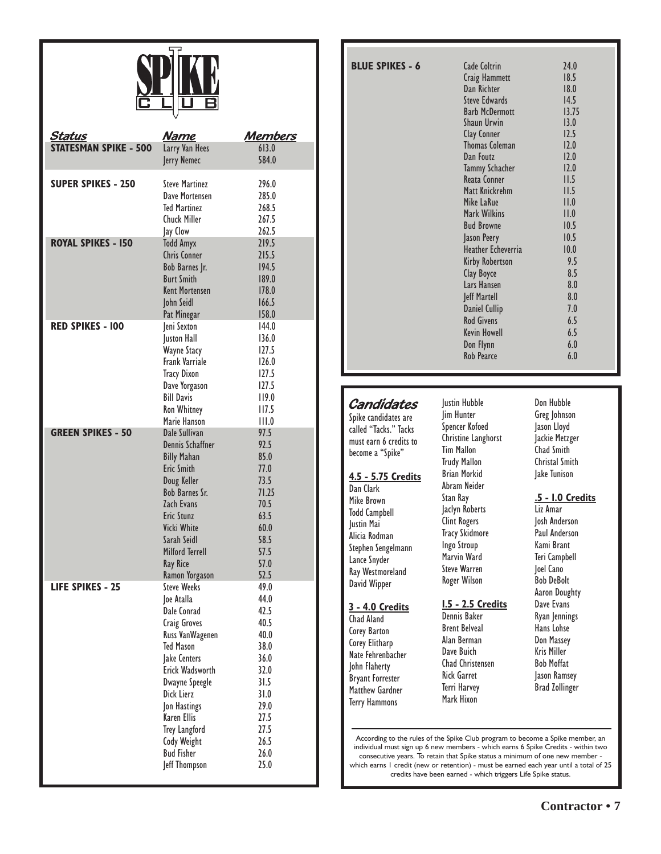

| <u>Status</u>                | <u>Name</u>                          | <u>Members</u> |
|------------------------------|--------------------------------------|----------------|
| <b>STATESMAN SPIKE - 500</b> | Larry Van Hees                       | 613.0          |
|                              | Jerry Nemec                          | 584.0          |
|                              |                                      |                |
| <b>SUPER SPIKES - 250</b>    | <b>Steve Martinez</b>                | 296.0          |
|                              | Dave Mortensen                       | 285.0          |
|                              | <b>Ted Martinez</b>                  | 268.5          |
|                              | <b>Chuck Miller</b>                  | 267.5          |
|                              | Jay Clow                             | 262.5          |
| <b>ROYAL SPIKES - 150</b>    | <b>Todd Amyx</b>                     | 219.5          |
|                              | <b>Chris Conner</b>                  | 215.5          |
|                              | Bob Barnes Jr.                       | 194.5          |
|                              | <b>Burt Smith</b>                    | 189.0          |
|                              | <b>Kent Mortensen</b>                | 178.0          |
|                              | John Seidl                           | 166.5          |
| <b>RED SPIKES - 100</b>      | Pat Minegar                          | 158.0          |
|                              | Jeni Sexton                          | 144.0<br>136.0 |
|                              | Juston Hall<br>Wayne Stacy           | 127.5          |
|                              | <b>Frank Varriale</b>                | 126.0          |
|                              | <b>Tracy Dixon</b>                   | 127.5          |
|                              | Dave Yorgason                        | 127.5          |
|                              | <b>Bill Davis</b>                    | 119.0          |
|                              | <b>Ron Whitney</b>                   | 117.5          |
|                              | Marie Hanson                         | III.0          |
| <b>GREEN SPIKES - 50</b>     | Dale Sullivan                        | 97.5           |
|                              | Dennis Schaffner                     | 92.5           |
|                              | <b>Billy Mahan</b>                   | 85.0           |
|                              | <b>Eric Smith</b>                    | 77.0           |
|                              | Doug Keller                          | 73.5           |
|                              | <b>Bob Barnes Sr.</b>                | 71.25          |
|                              | Zach Evans                           | 70.5           |
|                              | Eric Stunz                           | 63.5           |
|                              | Vicki White                          | 60.0           |
|                              | Sarah Seidl                          | 58.5           |
|                              | Milford Terrell                      | 57.5           |
|                              | <b>Ray Rice</b>                      | 57.0           |
|                              | Ramon Yorgason<br><b>Steve Weeks</b> | 52.5           |
| <b>LIFE SPIKES - 25</b>      |                                      | 49.0<br>44.0   |
|                              | Joe Atalla<br>Dale Conrad            | 42.5           |
|                              | Craig Groves                         | 40.5           |
|                              | Russ VanWagenen                      | 40.0           |
|                              | <b>Ted Mason</b>                     | 38.0           |
|                              | Jake Centers                         | 36.0           |
|                              | Erick Wadsworth                      | 32.0           |
|                              | Dwayne Speegle                       | 31.5           |
|                              | Dick Lierz                           | 31.0           |
|                              | Jon Hastings                         | 29.0           |
|                              | <b>Karen Ellis</b>                   | 27.5           |
|                              | <b>Trey Langford</b>                 | 27.5           |
|                              | <b>Cody Weight</b>                   | 26.5           |
|                              | <b>Bud Fisher</b>                    | 26.0           |
|                              | Jeff Thompson                        | 25.0           |
|                              |                                      |                |

| <b>BLUE SPIKES - 6</b> | Cade Coltrin           | 24.0  |
|------------------------|------------------------|-------|
|                        | Craig Hammett          | 18.5  |
|                        | Dan Richter            | 18.0  |
|                        | <b>Steve Edwards</b>   | 14.5  |
|                        | <b>Barb McDermott</b>  | 13.75 |
|                        | <b>Shaun Urwin</b>     | 13.0  |
|                        | Clay Conner            | 12.5  |
|                        | <b>Thomas Coleman</b>  | 12.0  |
|                        | Dan Foutz              | 12.0  |
|                        | <b>Tammy Schacher</b>  | 12.0  |
|                        | <b>Reata Conner</b>    | II.5  |
|                        | Matt Knickrehm         | II.5  |
|                        | Mike LaRue             | II.0  |
|                        | Mark Wilkins           | II.0  |
|                        | <b>Bud Browne</b>      | 10.5  |
|                        | Jason Peery            | 10.5  |
|                        | Heather Echeverria     | 10.0  |
|                        | <b>Kirby Robertson</b> | 9.5   |
|                        | Clay Boyce             | 8.5   |
|                        | Lars Hansen            | 8.0   |
|                        | Jeff Martell           | 8.0   |
|                        | <b>Daniel Cullip</b>   | 7.0   |
|                        | <b>Rod Givens</b>      | 6.5   |
|                        | <b>Kevin Howell</b>    | 6.5   |
|                        | Don Flynn              | 6.0   |
|                        | <b>Rob Pearce</b>      | 6.0   |
|                        |                        |       |

## **Candidates**

Spike candidates are called "Tacks." Tacks must earn 6 credits to become a "Spike"

#### **4.5 - 5.75 Credits**

Dan Clark Mike Brown Todd Campbell Justin Mai Alicia Rodman Stephen Sengelmann Lance Snyder Ray Westmoreland David Wipper

## **3 - 4.0 Credits**

Chad Aland Corey Barton Corey Elitharp Nate Fehrenbacher John Flaherty Bryant Forrester Matthew Gardner Terry Hammons

Justin Hubble Jim Hunter Spencer Kofoed Christine Langhorst Tim Mallon Trudy Mallon Brian Morkid Abram Neider Stan Ray Jaclyn Roberts Clint Rogers Tracy Skidmore Ingo Stroup Marvin Ward Steve Warren Roger Wilson

#### **1.5 - 2.5 Credits** Dennis Baker

Brent Belveal Alan Berman Dave Buich Chad Christensen Rick Garret Terri Harvey Mark Hixon

Don Hubble Greg Johnson Jason Lloyd Jackie Metzger Chad Smith Christal Smith Jake Tunison

#### **.5 - 1.0 Credits**

Liz Amar Josh Anderson Paul Anderson Kami Brant Teri Campbell Joel Cano Bob DeBolt Aaron Doughty Dave Evans Ryan Jennings Hans Lohse Don Massey Kris Miller Bob Moffat Jason Ramsey Brad Zollinger

According to the rules of the Spike Club program to become a Spike member, an individual must sign up 6 new members - which earns 6 Spike Credits - within two consecutive years. To retain that Spike status a minimum of one new member -

which earns 1 credit (new or retention) - must be earned each year until a total of 25 credits have been earned - which triggers Life Spike status.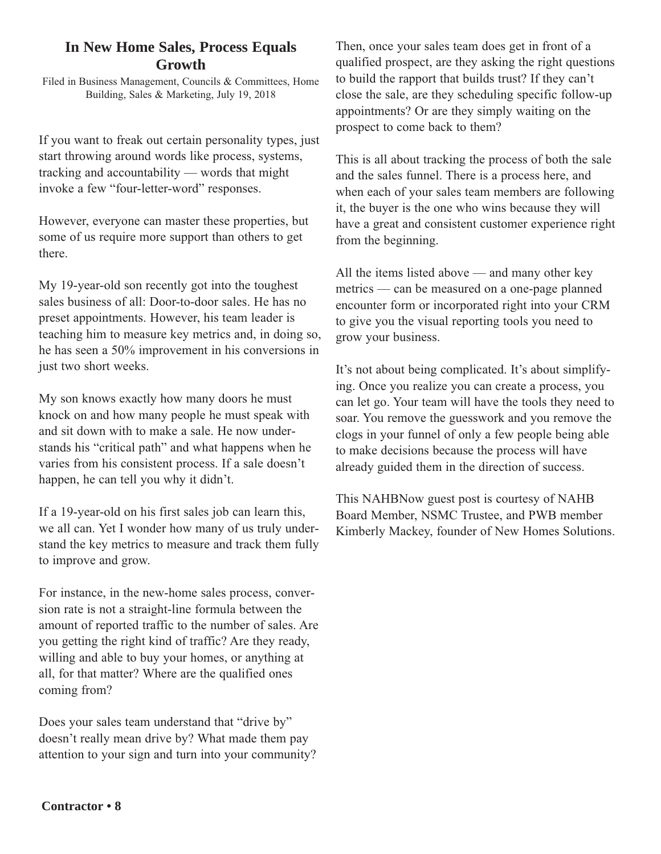## **In New Home Sales, Process Equals Growth**

Filed in Business Management, Councils & Committees, Home Building, Sales & Marketing, July 19, 2018

If you want to freak out certain personality types, just start throwing around words like process, systems, tracking and accountability — words that might invoke a few "four-letter-word" responses.

However, everyone can master these properties, but some of us require more support than others to get there.

My 19-year-old son recently got into the toughest sales business of all: Door-to-door sales. He has no preset appointments. However, his team leader is teaching him to measure key metrics and, in doing so, he has seen a 50% improvement in his conversions in just two short weeks.

My son knows exactly how many doors he must knock on and how many people he must speak with and sit down with to make a sale. He now understands his "critical path" and what happens when he varies from his consistent process. If a sale doesn't happen, he can tell you why it didn't.

If a 19-year-old on his first sales job can learn this, we all can. Yet I wonder how many of us truly understand the key metrics to measure and track them fully to improve and grow.

For instance, in the new-home sales process, conversion rate is not a straight-line formula between the amount of reported traffic to the number of sales. Are you getting the right kind of traffic? Are they ready, willing and able to buy your homes, or anything at all, for that matter? Where are the qualified ones coming from?

Does your sales team understand that "drive by" doesn't really mean drive by? What made them pay attention to your sign and turn into your community?

Then, once your sales team does get in front of a qualified prospect, are they asking the right questions to build the rapport that builds trust? If they can't close the sale, are they scheduling specific follow-up appointments? Or are they simply waiting on the prospect to come back to them?

This is all about tracking the process of both the sale and the sales funnel. There is a process here, and when each of your sales team members are following it, the buyer is the one who wins because they will have a great and consistent customer experience right from the beginning.

All the items listed above — and many other key metrics — can be measured on a one-page planned encounter form or incorporated right into your CRM to give you the visual reporting tools you need to grow your business.

It's not about being complicated. It's about simplifying. Once you realize you can create a process, you can let go. Your team will have the tools they need to soar. You remove the guesswork and you remove the clogs in your funnel of only a few people being able to make decisions because the process will have already guided them in the direction of success.

This NAHBNow guest post is courtesy of NAHB Board Member, NSMC Trustee, and PWB member Kimberly Mackey, founder of New Homes Solutions.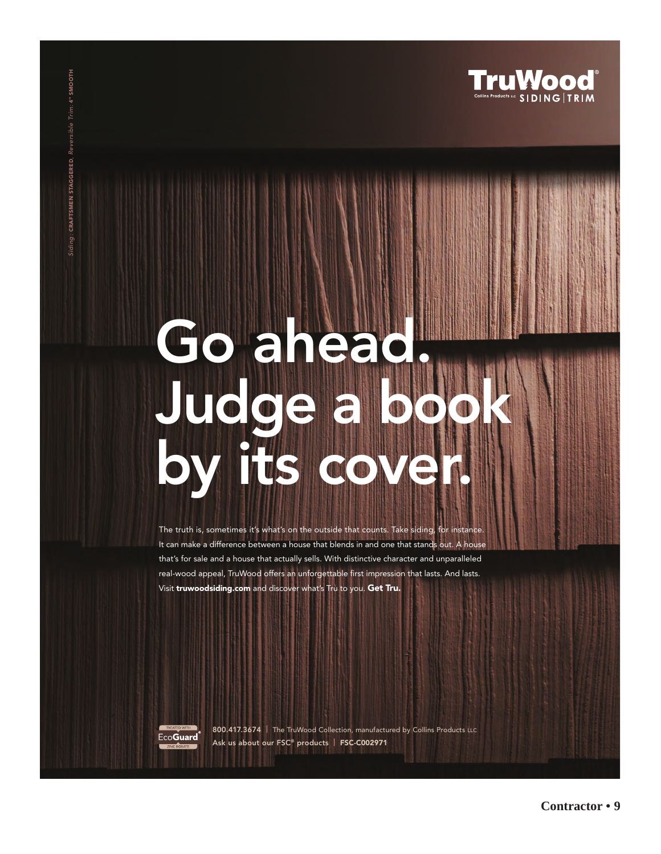

# **Go ahead. [Judge a book](http://www.bcaswi.org/go/august-2018-truwood-pdf/)  by its cover.**

The truth is, sometimes it's what's on the outside that counts. Take siding, for instance. It can make a difference between a house that blends in and one that stands out. A house that's for sale and a house that actually sells. With distinctive character and unparalleled real-wood appeal, TruWood offers an unforgettable first impression that lasts. And lasts. Visit **truwoodsiding.com** and discover what's Tru to you. **Get Tru.**



Siding : **CRAFTSMEN STAGGERED**, Reversible Trim: **4" SMOOTH**

CRAFTSMEN STAGGERED, Reversible Trim: 4" SMOOTH

**800.417.3674 |** The TruWood Collection, manufactured by Collins Products LLC **Ask us about our FSC® products | FSC-C002971**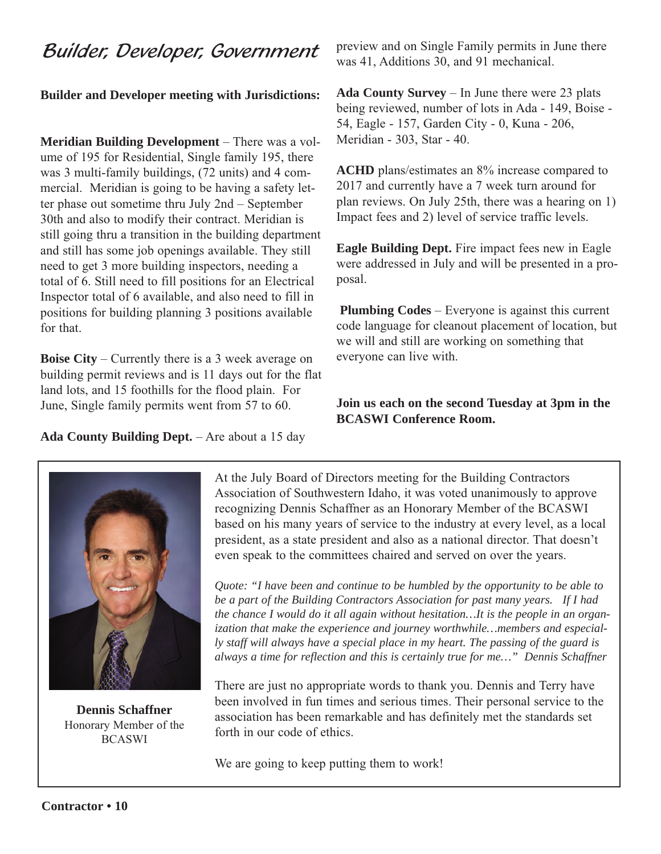## Builder, Developer, Government

## **Builder and Developer meeting with Jurisdictions:**

**Meridian Building Development** – There was a volume of 195 for Residential, Single family 195, there was 3 multi-family buildings, (72 units) and 4 commercial. Meridian is going to be having a safety letter phase out sometime thru July 2nd – September 30th and also to modify their contract. Meridian is still going thru a transition in the building department and still has some job openings available. They still need to get 3 more building inspectors, needing a total of 6. Still need to fill positions for an Electrical Inspector total of 6 available, and also need to fill in positions for building planning 3 positions available for that.

**Boise City** – Currently there is a 3 week average on building permit reviews and is 11 days out for the flat land lots, and 15 foothills for the flood plain. For June, Single family permits went from 57 to 60.

preview and on Single Family permits in June there was 41, Additions 30, and 91 mechanical.

**Ada County Survey** – In June there were 23 plats being reviewed, number of lots in Ada - 149, Boise - 54, Eagle - 157, Garden City - 0, Kuna - 206, Meridian - 303, Star - 40.

**ACHD** plans/estimates an 8% increase compared to 2017 and currently have a 7 week turn around for plan reviews. On July 25th, there was a hearing on 1) Impact fees and 2) level of service traffic levels.

**Eagle Building Dept.** Fire impact fees new in Eagle were addressed in July and will be presented in a proposal.

**Plumbing Codes** – Everyone is against this current code language for cleanout placement of location, but we will and still are working on something that everyone can live with.

## **Join us each on the second Tuesday at 3pm in the BCASWI Conference Room.**

**Ada County Building Dept.** – Are about a 15 day



**Dennis Schaffner**  Honorary Member of the BCASWI

At the July Board of Directors meeting for the Building Contractors Association of Southwestern Idaho, it was voted unanimously to approve recognizing Dennis Schaffner as an Honorary Member of the BCASWI based on his many years of service to the industry at every level, as a local president, as a state president and also as a national director. That doesn't even speak to the committees chaired and served on over the years.

*Quote: "I have been and continue to be humbled by the opportunity to be able to be a part of the Building Contractors Association for past many years. If I had the chance I would do it all again without hesitation…It is the people in an organization that make the experience and journey worthwhile…members and especially staff will always have a special place in my heart. The passing of the guard is always a time for reflection and this is certainly true for me…" Dennis Schaffner*

There are just no appropriate words to thank you. Dennis and Terry have been involved in fun times and serious times. Their personal service to the association has been remarkable and has definitely met the standards set forth in our code of ethics.

We are going to keep putting them to work!